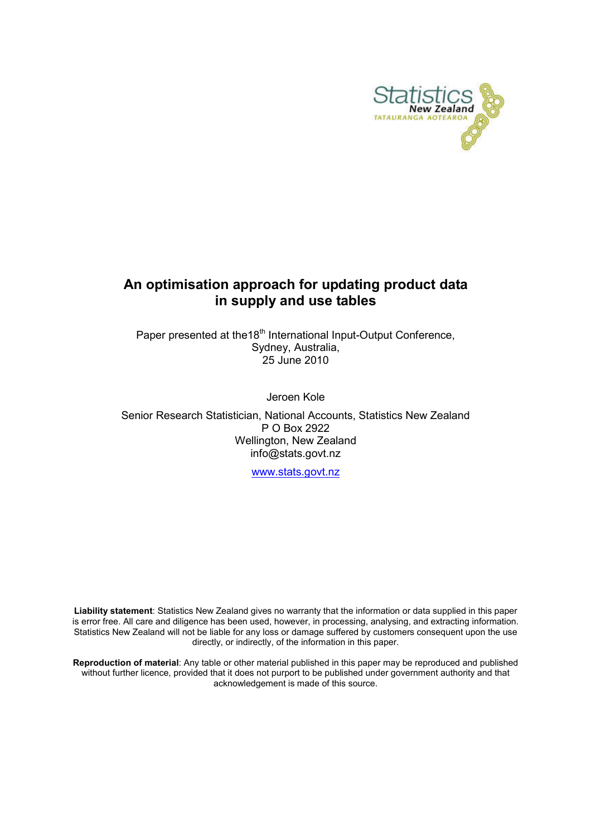

# An optimisation approach for updating product data in supply and use tables

Paper presented at the18<sup>th</sup> International Input-Output Conference, Sydney, Australia, 25 June 2010

Jeroen Kole

Senior Research Statistician, National Accounts, Statistics New Zealand P O Box 2922 Wellington, New Zealand info@stats.govt.nz

www.stats.govt.nz

Liability statement: Statistics New Zealand gives no warranty that the information or data supplied in this paper is error free. All care and diligence has been used, however, in processing, analysing, and extracting information. Statistics New Zealand will not be liable for any loss or damage suffered by customers consequent upon the use directly, or indirectly, of the information in this paper.

Reproduction of material: Any table or other material published in this paper may be reproduced and published without further licence, provided that it does not purport to be published under government authority and that acknowledgement is made of this source.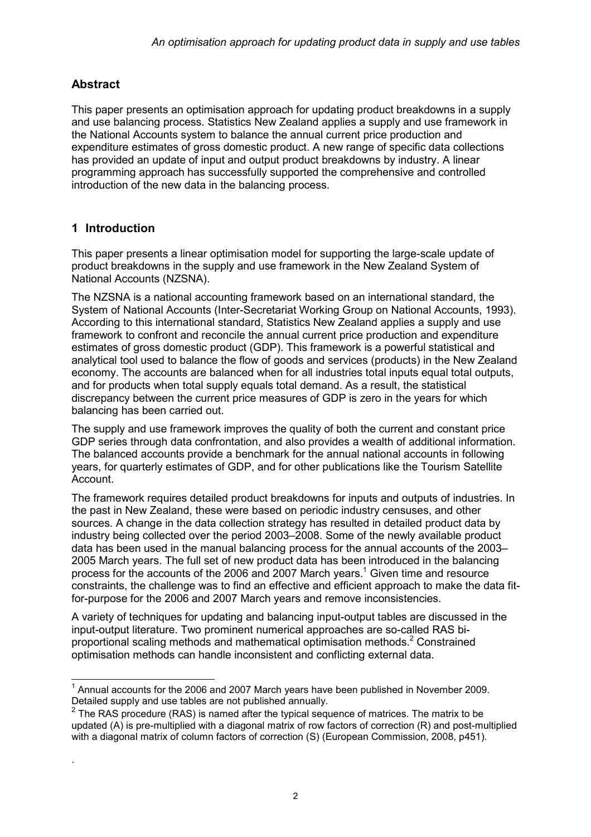# Abstract

This paper presents an optimisation approach for updating product breakdowns in a supply and use balancing process. Statistics New Zealand applies a supply and use framework in the National Accounts system to balance the annual current price production and expenditure estimates of gross domestic product. A new range of specific data collections has provided an update of input and output product breakdowns by industry. A linear programming approach has successfully supported the comprehensive and controlled introduction of the new data in the balancing process.

# 1 Introduction

.

This paper presents a linear optimisation model for supporting the large-scale update of product breakdowns in the supply and use framework in the New Zealand System of National Accounts (NZSNA).

The NZSNA is a national accounting framework based on an international standard, the System of National Accounts (Inter-Secretariat Working Group on National Accounts, 1993). According to this international standard, Statistics New Zealand applies a supply and use framework to confront and reconcile the annual current price production and expenditure estimates of gross domestic product (GDP). This framework is a powerful statistical and analytical tool used to balance the flow of goods and services (products) in the New Zealand economy. The accounts are balanced when for all industries total inputs equal total outputs, and for products when total supply equals total demand. As a result, the statistical discrepancy between the current price measures of GDP is zero in the years for which balancing has been carried out.

The supply and use framework improves the quality of both the current and constant price GDP series through data confrontation, and also provides a wealth of additional information. The balanced accounts provide a benchmark for the annual national accounts in following years, for quarterly estimates of GDP, and for other publications like the Tourism Satellite Account.

The framework requires detailed product breakdowns for inputs and outputs of industries. In the past in New Zealand, these were based on periodic industry censuses, and other sources. A change in the data collection strategy has resulted in detailed product data by industry being collected over the period 2003–2008. Some of the newly available product data has been used in the manual balancing process for the annual accounts of the 2003– 2005 March years. The full set of new product data has been introduced in the balancing process for the accounts of the 2006 and 2007 March years.<sup>1</sup> Given time and resource constraints, the challenge was to find an effective and efficient approach to make the data fitfor-purpose for the 2006 and 2007 March years and remove inconsistencies.

A variety of techniques for updating and balancing input-output tables are discussed in the input-output literature. Two prominent numerical approaches are so-called RAS biproportional scaling methods and mathematical optimisation methods.<sup>2</sup> Constrained optimisation methods can handle inconsistent and conflicting external data.

 1 Annual accounts for the 2006 and 2007 March years have been published in November 2009. Detailed supply and use tables are not published annually.

 $2$  The RAS procedure (RAS) is named after the typical sequence of matrices. The matrix to be updated (A) is pre-multiplied with a diagonal matrix of row factors of correction (R) and post-multiplied with a diagonal matrix of column factors of correction (S) (European Commission, 2008, p451).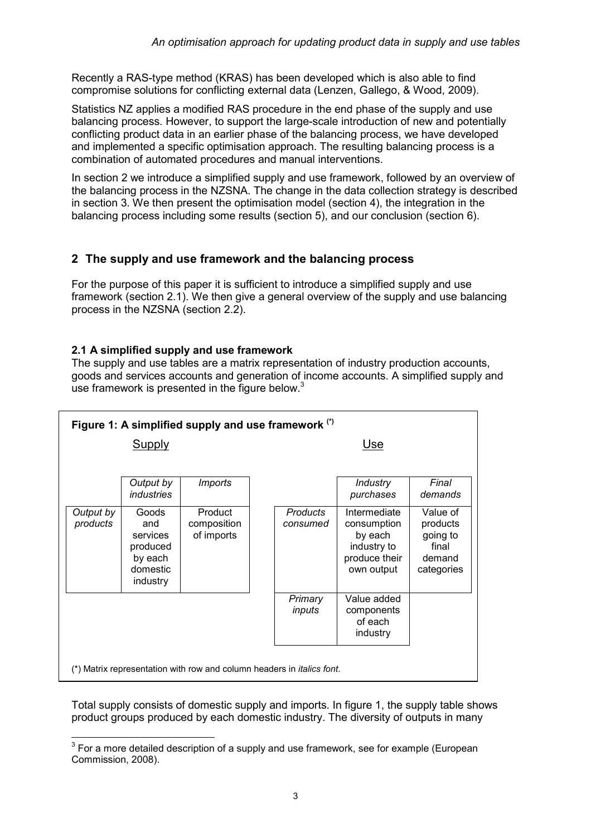Recently a RAS-type method (KRAS) has been developed which is also able to find compromise solutions for conflicting external data (Lenzen, Gallego, & Wood, 2009).

Statistics NZ applies a modified RAS procedure in the end phase of the supply and use balancing process. However, to support the large-scale introduction of new and potentially conflicting product data in an earlier phase of the balancing process, we have developed and implemented a specific optimisation approach. The resulting balancing process is a combination of automated procedures and manual interventions.

In section 2 we introduce a simplified supply and use framework, followed by an overview of the balancing process in the NZSNA. The change in the data collection strategy is described in section 3. We then present the optimisation model (section 4), the integration in the balancing process including some results (section 5), and our conclusion (section 6).

# 2 The supply and use framework and the balancing process

For the purpose of this paper it is sufficient to introduce a simplified supply and use framework (section 2.1). We then give a general overview of the supply and use balancing process in the NZSNA (section 2.2).

### 2.1 A simplified supply and use framework

The supply and use tables are a matrix representation of industry production accounts, goods and services accounts and generation of income accounts. A simplified supply and use framework is presented in the figure below. $3$ 

| Figure 1: A simplified supply and use framework (*)                            |                                                                         |                                      |  |                      |                                                                                      |                                                                   |  |  |  |  |  |
|--------------------------------------------------------------------------------|-------------------------------------------------------------------------|--------------------------------------|--|----------------------|--------------------------------------------------------------------------------------|-------------------------------------------------------------------|--|--|--|--|--|
| <b>Supply</b>                                                                  |                                                                         |                                      |  | Use                  |                                                                                      |                                                                   |  |  |  |  |  |
|                                                                                |                                                                         |                                      |  |                      |                                                                                      |                                                                   |  |  |  |  |  |
|                                                                                | Output by<br><i>industries</i>                                          | <b>Imports</b>                       |  |                      | <b>Industry</b><br>purchases                                                         | Final<br>demands                                                  |  |  |  |  |  |
| Output by<br>products                                                          | Goods<br>and<br>services<br>produced<br>by each<br>domestic<br>industry | Product<br>composition<br>of imports |  | Products<br>consumed | Intermediate<br>consumption<br>by each<br>industry to<br>produce their<br>own output | Value of<br>products<br>going to<br>final<br>demand<br>categories |  |  |  |  |  |
|                                                                                |                                                                         |                                      |  | Primary<br>inputs    | Value added<br>components<br>of each<br>industry                                     |                                                                   |  |  |  |  |  |
| (*) Matrix representation with row and column headers in <i>italics font</i> . |                                                                         |                                      |  |                      |                                                                                      |                                                                   |  |  |  |  |  |

Total supply consists of domestic supply and imports. In figure 1, the supply table shows product groups produced by each domestic industry. The diversity of outputs in many

 3 For a more detailed description of a supply and use framework, see for example (European Commission, 2008).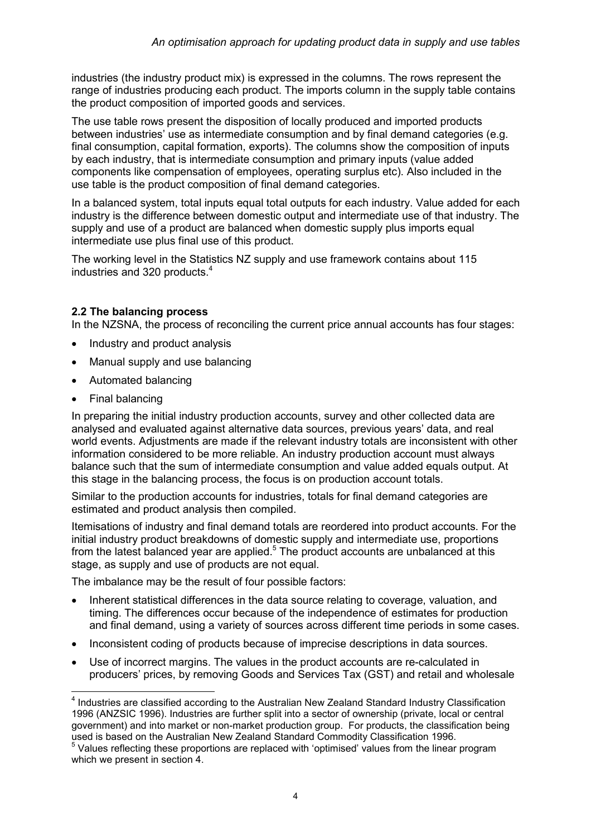industries (the industry product mix) is expressed in the columns. The rows represent the range of industries producing each product. The imports column in the supply table contains the product composition of imported goods and services.

The use table rows present the disposition of locally produced and imported products between industries' use as intermediate consumption and by final demand categories (e.g. final consumption, capital formation, exports). The columns show the composition of inputs by each industry, that is intermediate consumption and primary inputs (value added components like compensation of employees, operating surplus etc). Also included in the use table is the product composition of final demand categories.

In a balanced system, total inputs equal total outputs for each industry. Value added for each industry is the difference between domestic output and intermediate use of that industry. The supply and use of a product are balanced when domestic supply plus imports equal intermediate use plus final use of this product.

The working level in the Statistics NZ supply and use framework contains about 115 industries and 320 products.<sup>4</sup>

### 2.2 The balancing process

In the NZSNA, the process of reconciling the current price annual accounts has four stages:

- Industry and product analysis
- Manual supply and use balancing
- Automated balancing
- Final balancing

In preparing the initial industry production accounts, survey and other collected data are analysed and evaluated against alternative data sources, previous years' data, and real world events. Adjustments are made if the relevant industry totals are inconsistent with other information considered to be more reliable. An industry production account must always balance such that the sum of intermediate consumption and value added equals output. At this stage in the balancing process, the focus is on production account totals.

Similar to the production accounts for industries, totals for final demand categories are estimated and product analysis then compiled.

Itemisations of industry and final demand totals are reordered into product accounts. For the initial industry product breakdowns of domestic supply and intermediate use, proportions from the latest balanced year are applied.<sup>5</sup> The product accounts are unbalanced at this stage, as supply and use of products are not equal.

The imbalance may be the result of four possible factors:

- Inherent statistical differences in the data source relating to coverage, valuation, and timing. The differences occur because of the independence of estimates for production and final demand, using a variety of sources across different time periods in some cases.
- Inconsistent coding of products because of imprecise descriptions in data sources.
- Use of incorrect margins. The values in the product accounts are re-calculated in producers' prices, by removing Goods and Services Tax (GST) and retail and wholesale

 4 Industries are classified according to the Australian New Zealand Standard Industry Classification 1996 (ANZSIC 1996). Industries are further split into a sector of ownership (private, local or central government) and into market or non-market production group. For products, the classification being used is based on the Australian New Zealand Standard Commodity Classification 1996.

<sup>&</sup>lt;sup>5</sup> Values reflecting these proportions are replaced with 'optimised' values from the linear program which we present in section 4.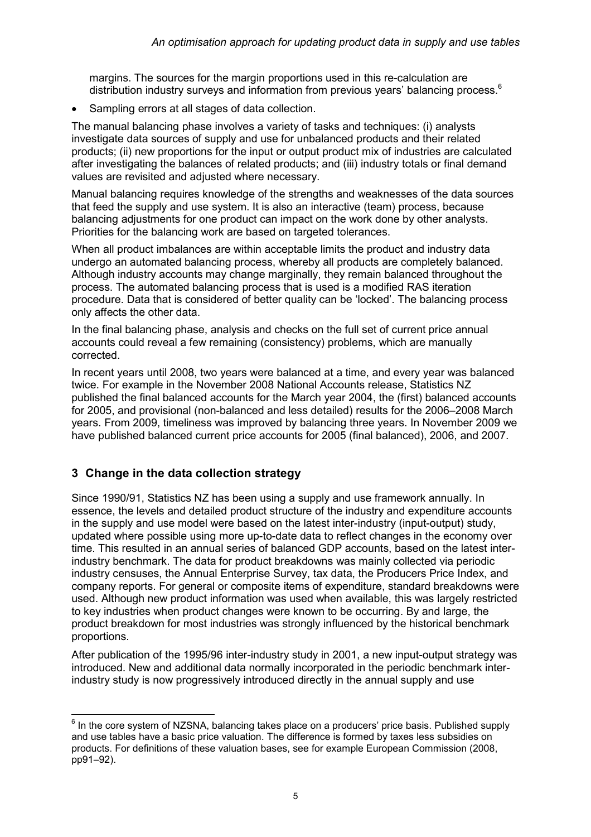margins. The sources for the margin proportions used in this re-calculation are distribution industry surveys and information from previous years' balancing process.<sup>6</sup>

Sampling errors at all stages of data collection.

The manual balancing phase involves a variety of tasks and techniques: (i) analysts investigate data sources of supply and use for unbalanced products and their related products; (ii) new proportions for the input or output product mix of industries are calculated after investigating the balances of related products; and (iii) industry totals or final demand values are revisited and adjusted where necessary.

Manual balancing requires knowledge of the strengths and weaknesses of the data sources that feed the supply and use system. It is also an interactive (team) process, because balancing adjustments for one product can impact on the work done by other analysts. Priorities for the balancing work are based on targeted tolerances.

When all product imbalances are within acceptable limits the product and industry data undergo an automated balancing process, whereby all products are completely balanced. Although industry accounts may change marginally, they remain balanced throughout the process. The automated balancing process that is used is a modified RAS iteration procedure. Data that is considered of better quality can be 'locked'. The balancing process only affects the other data.

In the final balancing phase, analysis and checks on the full set of current price annual accounts could reveal a few remaining (consistency) problems, which are manually corrected.

In recent years until 2008, two years were balanced at a time, and every year was balanced twice. For example in the November 2008 National Accounts release, Statistics NZ published the final balanced accounts for the March year 2004, the (first) balanced accounts for 2005, and provisional (non-balanced and less detailed) results for the 2006–2008 March years. From 2009, timeliness was improved by balancing three years. In November 2009 we have published balanced current price accounts for 2005 (final balanced), 2006, and 2007.

# 3 Change in the data collection strategy

Since 1990/91, Statistics NZ has been using a supply and use framework annually. In essence, the levels and detailed product structure of the industry and expenditure accounts in the supply and use model were based on the latest inter-industry (input-output) study, updated where possible using more up-to-date data to reflect changes in the economy over time. This resulted in an annual series of balanced GDP accounts, based on the latest interindustry benchmark. The data for product breakdowns was mainly collected via periodic industry censuses, the Annual Enterprise Survey, tax data, the Producers Price Index, and company reports. For general or composite items of expenditure, standard breakdowns were used. Although new product information was used when available, this was largely restricted to key industries when product changes were known to be occurring. By and large, the product breakdown for most industries was strongly influenced by the historical benchmark proportions.

After publication of the 1995/96 inter-industry study in 2001, a new input-output strategy was introduced. New and additional data normally incorporated in the periodic benchmark interindustry study is now progressively introduced directly in the annual supply and use

end on the core system of NZSNA, balancing takes place on a producers' price basis. Published supply be  $6$  In the core system of NZSNA, balancing takes place on a producers' price basis. Published supply and use tables have a basic price valuation. The difference is formed by taxes less subsidies on products. For definitions of these valuation bases, see for example European Commission (2008, pp91–92).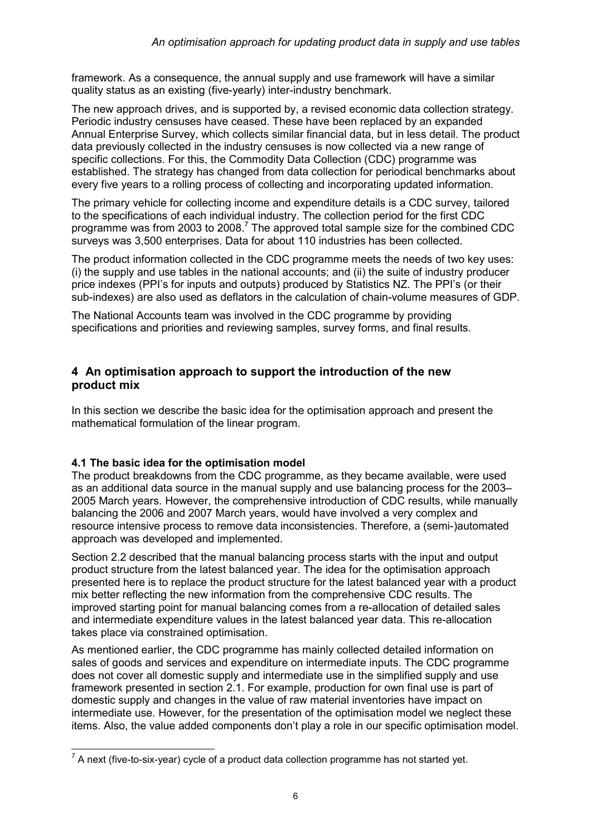framework. As a consequence, the annual supply and use framework will have a similar quality status as an existing (five-yearly) inter-industry benchmark.

The new approach drives, and is supported by, a revised economic data collection strategy. Periodic industry censuses have ceased. These have been replaced by an expanded Annual Enterprise Survey, which collects similar financial data, but in less detail. The product data previously collected in the industry censuses is now collected via a new range of specific collections. For this, the Commodity Data Collection (CDC) programme was established. The strategy has changed from data collection for periodical benchmarks about every five years to a rolling process of collecting and incorporating updated information.

The primary vehicle for collecting income and expenditure details is a CDC survey, tailored to the specifications of each individual industry. The collection period for the first CDC programme was from 2003 to 2008.<sup>7</sup> The approved total sample size for the combined CDC surveys was 3,500 enterprises. Data for about 110 industries has been collected.

The product information collected in the CDC programme meets the needs of two key uses: (i) the supply and use tables in the national accounts; and (ii) the suite of industry producer price indexes (PPI's for inputs and outputs) produced by Statistics NZ. The PPI's (or their sub-indexes) are also used as deflators in the calculation of chain-volume measures of GDP.

The National Accounts team was involved in the CDC programme by providing specifications and priorities and reviewing samples, survey forms, and final results.

## 4 An optimisation approach to support the introduction of the new product mix

In this section we describe the basic idea for the optimisation approach and present the mathematical formulation of the linear program.

### 4.1 The basic idea for the optimisation model

The product breakdowns from the CDC programme, as they became available, were used as an additional data source in the manual supply and use balancing process for the 2003– 2005 March years. However, the comprehensive introduction of CDC results, while manually balancing the 2006 and 2007 March years, would have involved a very complex and resource intensive process to remove data inconsistencies. Therefore, a (semi-)automated approach was developed and implemented.

Section 2.2 described that the manual balancing process starts with the input and output product structure from the latest balanced year. The idea for the optimisation approach presented here is to replace the product structure for the latest balanced year with a product mix better reflecting the new information from the comprehensive CDC results. The improved starting point for manual balancing comes from a re-allocation of detailed sales and intermediate expenditure values in the latest balanced year data. This re-allocation takes place via constrained optimisation.

As mentioned earlier, the CDC programme has mainly collected detailed information on sales of goods and services and expenditure on intermediate inputs. The CDC programme does not cover all domestic supply and intermediate use in the simplified supply and use framework presented in section 2.1. For example, production for own final use is part of domestic supply and changes in the value of raw material inventories have impact on intermediate use. However, for the presentation of the optimisation model we neglect these items. Also, the value added components don't play a role in our specific optimisation model.

 $\frac{7}{7}$ A next (five-to-six-year) cycle of a product data collection programme has not started yet.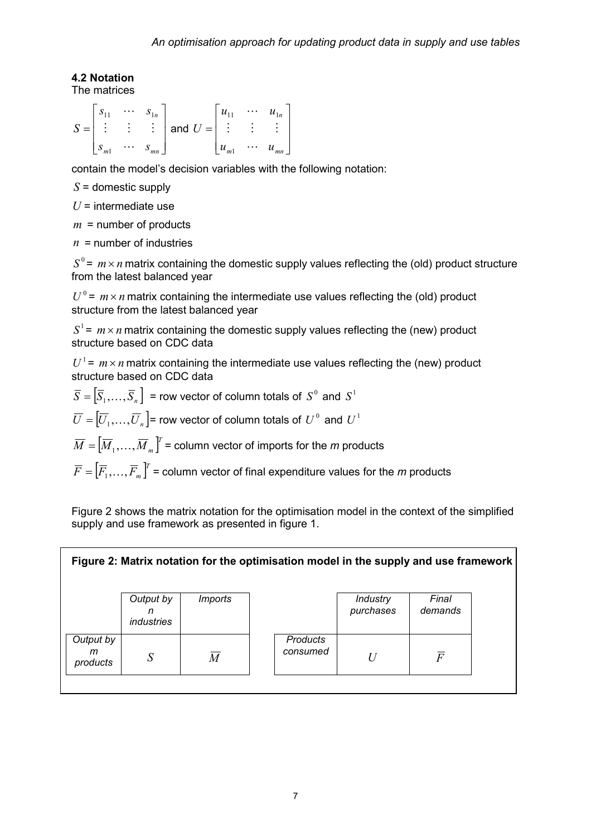# 4.2 Notation

The matrices

$$
S = \begin{bmatrix} s_{11} & \cdots & s_{1n} \\ \vdots & \vdots & \vdots \\ s_{m1} & \cdots & s_{mn} \end{bmatrix} \text{ and } U = \begin{bmatrix} u_{11} & \cdots & u_{1n} \\ \vdots & \vdots & \vdots \\ u_{m1} & \cdots & u_{mn} \end{bmatrix}
$$

contain the model's decision variables with the following notation:

 $S =$  domestic supply

 $U =$  intermediate use

 $m =$  number of products

 $n =$  number of industries

 $S^0$ =  $m \times n$  matrix containing the domestic supply values reflecting the (old) product structure from the latest balanced vear

 $U^0$  =  $m \times n$  matrix containing the intermediate use values reflecting the (old) product structure from the latest balanced year

 $S^1$ =  $m \times n$  matrix containing the domestic supply values reflecting the (new) product structure based on CDC data

 $U^1$  =  $m \times n$  matrix containing the intermediate use values reflecting the (new) product structure based on CDC data

- $\overline{S} = \left[ \overline{S}_1, \ldots, \overline{S}_n \right]$  = row vector of column totals of  $S^0$  and  $S^1$  $\overline{U} = \left[ \overline{U}_1, \ldots, \overline{U}_n \right]$ = row vector of column totals of  $\overline{U}^{\, 0}$  and  $\overline{U}^{\, 1}$
- $\overline{M} = \left[ \overline{M}_1, \ldots, \overline{M}_m \right]^{\!\! T}$  = column vector of imports for the  $m$  products
- $\overline{F} = \left[ \overline{F}_1, \ldots, \overline{F}_m \right]^T$  = column vector of final expenditure values for the  $m$  products

Figure 2 shows the matrix notation for the optimisation model in the context of the simplified supply and use framework as presented in figure 1.

| Final<br>Output by<br><b>Industry</b><br><i>Imports</i><br>purchases<br>demands<br>n<br><i>industries</i><br>Output by<br><b>Products</b><br>consumed<br>m<br>$\overline{F}$<br>S<br>U<br>M<br>products | Figure 2: Matrix notation for the optimisation model in the supply and use framework |  |  |  |  |  |  |  |  |  |  |  |  |
|---------------------------------------------------------------------------------------------------------------------------------------------------------------------------------------------------------|--------------------------------------------------------------------------------------|--|--|--|--|--|--|--|--|--|--|--|--|
|                                                                                                                                                                                                         |                                                                                      |  |  |  |  |  |  |  |  |  |  |  |  |
|                                                                                                                                                                                                         |                                                                                      |  |  |  |  |  |  |  |  |  |  |  |  |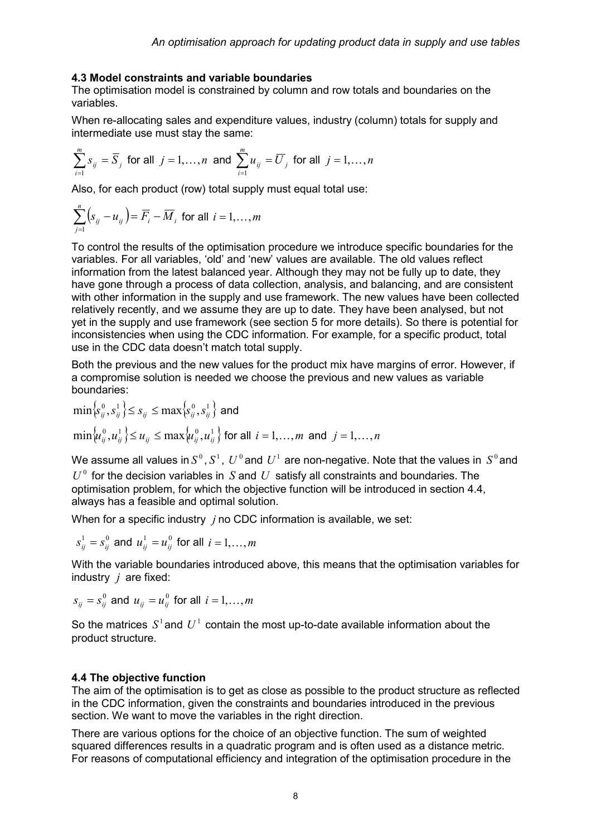#### 4.3 Model constraints and variable boundaries

The optimisation model is constrained by column and row totals and boundaries on the variables.

When re-allocating sales and expenditure values, industry (column) totals for supply and intermediate use must stay the same:

$$
\sum_{i=1}^{m} s_{ij} = \overline{S}_j \text{ for all } j = 1, \dots, n \text{ and } \sum_{i=1}^{m} u_{ij} = \overline{U}_j \text{ for all } j = 1, \dots, n
$$

Also, for each product (row) total supply must equal total use:

$$
\sum_{j=1}^{n} \left( s_{ij} - u_{ij} \right) = \overline{F}_i - \overline{M}_i \text{ for all } i = 1, \dots, m
$$

To control the results of the optimisation procedure we introduce specific boundaries for the variables. For all variables, 'old' and 'new' values are available. The old values reflect information from the latest balanced year. Although they may not be fully up to date, they have gone through a process of data collection, analysis, and balancing, and are consistent with other information in the supply and use framework. The new values have been collected relatively recently, and we assume they are up to date. They have been analysed, but not yet in the supply and use framework (see section 5 for more details). So there is potential for inconsistencies when using the CDC information. For example, for a specific product, total use in the CDC data doesn't match total supply.

Both the previous and the new values for the product mix have margins of error. However, if a compromise solution is needed we choose the previous and new values as variable boundaries:

$$
\min \{s_{ij}^0, s_{ij}^1\} \le s_{ij} \le \max \{s_{ij}^0, s_{ij}^1\} \text{ and}
$$
  

$$
\min \{u_{ij}^0, u_{ij}^1\} \le u_{ij} \le \max \{u_{ij}^0, u_{ij}^1\} \text{ for all } i = 1, ..., m \text{ and } j = 1, ..., n
$$

We assume all values in  $S^0, S^1, \, U^0$ and  $\,U^1$  are non-negative. Note that the values in  $\,S^0$ and  $U^0$  for the decision variables in S and U satisfy all constraints and boundaries. The optimisation problem, for which the objective function will be introduced in section 4.4, always has a feasible and optimal solution.

When for a specific industry  $i$  no CDC information is available, we set:

 $s_{ij}^1 = s_{ij}^0$  and  $u_{ij}^1 = u_{ij}^0$  for all  $i = 1, \ldots, m$ 

With the variable boundaries introduced above, this means that the optimisation variables for industry  $j$  are fixed:

$$
s_{ij} = s_{ij}^0
$$
 and 
$$
u_{ij} = u_{ij}^0
$$
 for all  $i = 1, ..., m$ 

So the matrices  $S^1$  and  $U^1$  contain the most up-to-date available information about the product structure.

#### 4.4 The objective function

The aim of the optimisation is to get as close as possible to the product structure as reflected in the CDC information, given the constraints and boundaries introduced in the previous section. We want to move the variables in the right direction.

There are various options for the choice of an objective function. The sum of weighted squared differences results in a quadratic program and is often used as a distance metric. For reasons of computational efficiency and integration of the optimisation procedure in the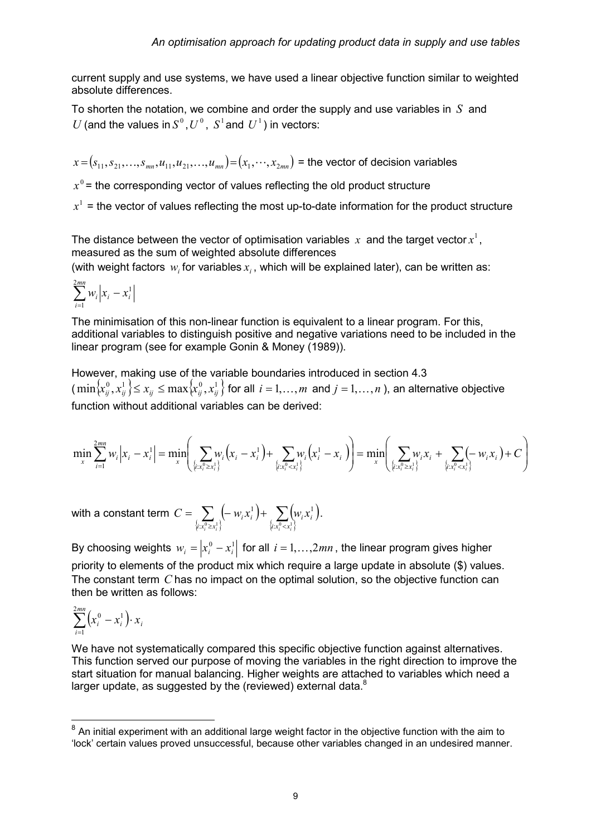current supply and use systems, we have used a linear objective function similar to weighted absolute differences.

To shorten the notation, we combine and order the supply and use variables in  $S$  and U (and the values in  $S^0$ ,  $U^0$ ,  $S^1$  and  $U^1$ ) in vectors:

 $(x = (s_{11}, s_{21}, \ldots, s_{mn}, u_{11}, u_{21}, \ldots, u_{mn}) = (x_1, \cdots, x_{2mn})$  = the vector of decision variables

 $x^0$  = the corresponding vector of values reflecting the old product structure

 $x^1$  = the vector of values reflecting the most up-to-date information for the product structure

The distance between the vector of optimisation variables  $x$  and the target vector  $x^1$ , measured as the sum of weighted absolute differences

(with weight factors  $w_i$  for variables  $x_i$ , which will be explained later), can be written as:

$$
\sum_{i=1}^{2mn} w_i \left| x_i - x_i^1 \right|
$$

The minimisation of this non-linear function is equivalent to a linear program. For this, additional variables to distinguish positive and negative variations need to be included in the linear program (see for example Gonin & Money (1989)).

However, making use of the variable boundaries introduced in section 4.3 (  ${\min}\{x_{ij}^0,x_{ij}^1\}\leq x_{ij}\leq {\max}\{x_{ij}^0,x_{ij}^1\}$  for all  $\,i=1,\ldots,m\,$  and  $j=1,\ldots,n$  ), an alternative objective function without additional variables can be derived:

$$
\min_{x} \sum_{i=1}^{2mn} w_i |x_i - x_i^1| = \min_{x} \left( \sum_{\{i: x_i^0 \ge x_i^1\}} w_i (x_i - x_i^1) + \sum_{\{i: x_i^0 < x_i^1\}} w_i (x_i^1 - x_i) \right) = \min_{x} \left( \sum_{\{i: x_i^0 < x_i^1\}} w_i x_i + \sum_{\{i: x_i^0 < x_i^1\}} (-w_i x_i) + C \right)
$$

with a constant term  $\left\{ i:\frac{1}{x_i^0\geq x_i^1}\right\}$  $(-w_i x_i^1)$  +  $\sum (w_i x_i^1)$ .  $\left\{ i:\frac{1}{x_i^0 < x_i^1} \right\}$  $\sum_{\mathbf{x}_i^0 \geq \mathbf{x}_i^1} \left( -\,w_i^{} \mathbf{x}_i^1 \right) + \sum_{\substack{\{i : \mathbf{x}_i^0 < \mathbf{x}_i^0 \leq \mathbf{x}_i^1\} } }$  $=\sum_{\{i:x_i^0\geq x_i^1\}}\left(-\big|W_iX_i^1\right)+\sum_{\{i:x_i^0$  $1 \mid \nabla \mid_{u \in \mathcal{V}}$  $\{x_i^0 \ge x_i^1\}$   $\{i : x_i^0 < x_i^1\}$  $i^{\lambda_i}$   $\cdots$   $\sum$   $\binom{w_i \lambda_i}{i}$  $i: x_i^0 \geq x$  $C = \sum_{i=1}^{\infty} (-w_i x_i^1) + \sum_{i=1}^{\infty} (w_i x_i^1).$ 

By choosing weights  $w_i = \left| x_i^0 - x_i^1 \right|$  for all  $i = 1, \ldots, 2mn$  , the linear program gives higher priority to elements of the product mix which require a large update in absolute (\$) values. The constant term C has no impact on the optimal solution, so the objective function can then be written as follows:

$$
\sum_{i=1}^{2mn} \left(x_i^0 - x_i^1\right) \cdot x_i
$$

We have not systematically compared this specific objective function against alternatives. This function served our purpose of moving the variables in the right direction to improve the start situation for manual balancing. Higher weights are attached to variables which need a larger update, as suggested by the (reviewed) external data. $8$ 

 8 An initial experiment with an additional large weight factor in the objective function with the aim to 'lock' certain values proved unsuccessful, because other variables changed in an undesired manner.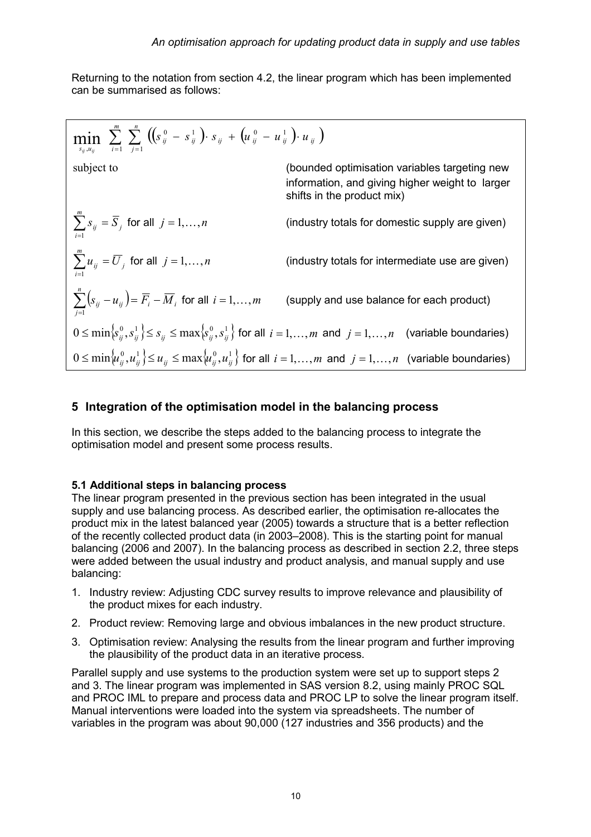Returning to the notation from section 4.2, the linear program which has been implemented can be summarised as follows:

| min                                                                                                                                                                                                            | \n $\sum_{s_{ij}, u_{ij}}^{m} \sum_{i=1}^{m} \sum_{j=1}^{n} \left( \left( s_{ij}^{0} - s_{ij}^{1} \right) \cdot s_{ij} + \left( u_{ij}^{0} - u_{ij}^{1} \right) \cdot u_{ij} \right)$ \n |
|----------------------------------------------------------------------------------------------------------------------------------------------------------------------------------------------------------------|------------------------------------------------------------------------------------------------------------------------------------------------------------------------------------------|
| subject to                                                                                                                                                                                                     | \n        (bounded optimisation variables targeting new information, and giving higher weight to larger shifts in the product mix)\n                                                     |
| \n $\sum_{i=1}^{m} s_{ij} = \overline{S}_{j}$ \n        for all $j = 1, ..., n$ \n        (industy totals for domestic supply are given)\n                                                                     |                                                                                                                                                                                          |
| \n $\sum_{j=1}^{m} u_{ij} = \overline{U}_{j}$ \n        for all $j = 1, ..., n$ \n        (industy totals for intermediate use are given)\n                                                                    |                                                                                                                                                                                          |
| \n $\sum_{j=1}^{n} \left( s_{ij} - u_{ij} \right) = \overline{F}_{i} - \overline{M}_{i}$ \n        for all $i = 1, ..., m$ \n        (supply and use balance for each product)\n                               |                                                                                                                                                                                          |
| \n $0 \leq \min \left\{ s_{ij}^{0}, s_{ij}^{1} \right\} \leq s_{ij} \leq \max \left\{ s_{ij}^{0}, s_{ij}^{1} \right\}$ \n        for all $i = 1, ..., m$ and $j = 1, ..., n$ \n        (variable boundaries)\n |                                                                                                                                                                                          |
| \n $0 \leq \min \left\{ u_{ij}^{0}, u_{ij}^{1} \right\} \leq u_{ij} \leq \max \left\{ u_{ij}^{0}, u_{ij}^{1} \right\}$ \n        for all $i = 1, ..., m$ and $j = 1, ..., n$ \n        (variable boundaries)\n |                                                                                                                                                                                          |

## 5 Integration of the optimisation model in the balancing process

In this section, we describe the steps added to the balancing process to integrate the optimisation model and present some process results.

#### 5.1 Additional steps in balancing process

The linear program presented in the previous section has been integrated in the usual supply and use balancing process. As described earlier, the optimisation re-allocates the product mix in the latest balanced year (2005) towards a structure that is a better reflection of the recently collected product data (in 2003–2008). This is the starting point for manual balancing (2006 and 2007). In the balancing process as described in section 2.2, three steps were added between the usual industry and product analysis, and manual supply and use balancing:

- 1. Industry review: Adjusting CDC survey results to improve relevance and plausibility of the product mixes for each industry.
- 2. Product review: Removing large and obvious imbalances in the new product structure.
- 3. Optimisation review: Analysing the results from the linear program and further improving the plausibility of the product data in an iterative process.

Parallel supply and use systems to the production system were set up to support steps 2 and 3. The linear program was implemented in SAS version 8.2, using mainly PROC SQL and PROC IML to prepare and process data and PROC LP to solve the linear program itself. Manual interventions were loaded into the system via spreadsheets. The number of variables in the program was about 90,000 (127 industries and 356 products) and the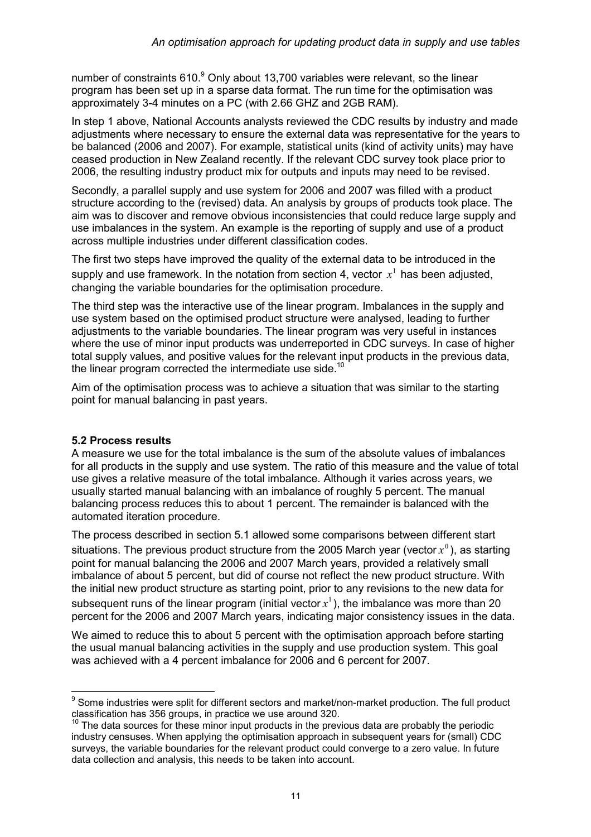number of constraints 610. $^9$  Only about 13,700 variables were relevant, so the linear program has been set up in a sparse data format. The run time for the optimisation was approximately 3-4 minutes on a PC (with 2.66 GHZ and 2GB RAM).

In step 1 above, National Accounts analysts reviewed the CDC results by industry and made adjustments where necessary to ensure the external data was representative for the years to be balanced (2006 and 2007). For example, statistical units (kind of activity units) may have ceased production in New Zealand recently. If the relevant CDC survey took place prior to 2006, the resulting industry product mix for outputs and inputs may need to be revised.

Secondly, a parallel supply and use system for 2006 and 2007 was filled with a product structure according to the (revised) data. An analysis by groups of products took place. The aim was to discover and remove obvious inconsistencies that could reduce large supply and use imbalances in the system. An example is the reporting of supply and use of a product across multiple industries under different classification codes.

The first two steps have improved the quality of the external data to be introduced in the supply and use framework. In the notation from section 4, vector  $x^1$  has been adjusted, changing the variable boundaries for the optimisation procedure.

The third step was the interactive use of the linear program. Imbalances in the supply and use system based on the optimised product structure were analysed, leading to further adjustments to the variable boundaries. The linear program was very useful in instances where the use of minor input products was underreported in CDC surveys. In case of higher total supply values, and positive values for the relevant input products in the previous data, the linear program corrected the intermediate use side.<sup>10</sup>

Aim of the optimisation process was to achieve a situation that was similar to the starting point for manual balancing in past years.

### 5.2 Process results

A measure we use for the total imbalance is the sum of the absolute values of imbalances for all products in the supply and use system. The ratio of this measure and the value of total use gives a relative measure of the total imbalance. Although it varies across years, we usually started manual balancing with an imbalance of roughly 5 percent. The manual balancing process reduces this to about 1 percent. The remainder is balanced with the automated iteration procedure.

The process described in section 5.1 allowed some comparisons between different start situations. The previous product structure from the 2005 March year (vector  $x^{\scriptscriptstyle 0}$  ), as starting point for manual balancing the 2006 and 2007 March years, provided a relatively small imbalance of about 5 percent, but did of course not reflect the new product structure. With the initial new product structure as starting point, prior to any revisions to the new data for subsequent runs of the linear program (initial vector  $x^1$ ), the imbalance was more than 20 percent for the 2006 and 2007 March years, indicating major consistency issues in the data.

We aimed to reduce this to about 5 percent with the optimisation approach before starting the usual manual balancing activities in the supply and use production system. This goal was achieved with a 4 percent imbalance for 2006 and 6 percent for 2007.

enties and the mattem of the mattem of the mattem of the mattem of the some industries were split for different sectors and market/non-market production. The full product the solid product classification has 356 groups, in practice we use around 320.

The data sources for these minor input products in the previous data are probably the periodic industry censuses. When applying the optimisation approach in subsequent years for (small) CDC surveys, the variable boundaries for the relevant product could converge to a zero value. In future data collection and analysis, this needs to be taken into account.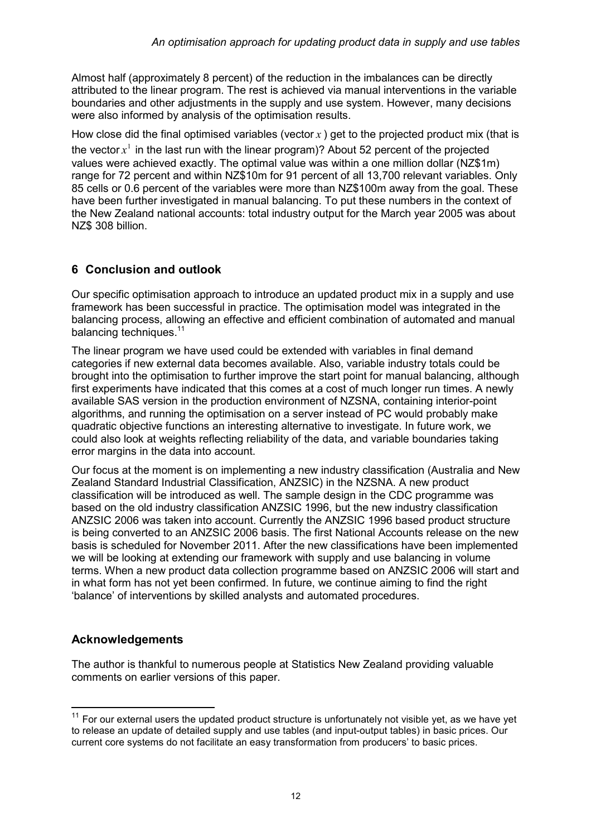Almost half (approximately 8 percent) of the reduction in the imbalances can be directly attributed to the linear program. The rest is achieved via manual interventions in the variable boundaries and other adjustments in the supply and use system. However, many decisions were also informed by analysis of the optimisation results.

How close did the final optimised variables (vector  $x$ ) get to the projected product mix (that is the vector  $x^1$  in the last run with the linear program)? About 52 percent of the projected values were achieved exactly. The optimal value was within a one million dollar (NZ\$1m) range for 72 percent and within NZ\$10m for 91 percent of all 13,700 relevant variables. Only 85 cells or 0.6 percent of the variables were more than NZ\$100m away from the goal. These have been further investigated in manual balancing. To put these numbers in the context of the New Zealand national accounts: total industry output for the March year 2005 was about NZ\$ 308 billion.

# 6 Conclusion and outlook

Our specific optimisation approach to introduce an updated product mix in a supply and use framework has been successful in practice. The optimisation model was integrated in the balancing process, allowing an effective and efficient combination of automated and manual balancing techniques.<sup>11</sup>

The linear program we have used could be extended with variables in final demand categories if new external data becomes available. Also, variable industry totals could be brought into the optimisation to further improve the start point for manual balancing, although first experiments have indicated that this comes at a cost of much longer run times. A newly available SAS version in the production environment of NZSNA, containing interior-point algorithms, and running the optimisation on a server instead of PC would probably make quadratic objective functions an interesting alternative to investigate. In future work, we could also look at weights reflecting reliability of the data, and variable boundaries taking error margins in the data into account.

Our focus at the moment is on implementing a new industry classification (Australia and New Zealand Standard Industrial Classification, ANZSIC) in the NZSNA. A new product classification will be introduced as well. The sample design in the CDC programme was based on the old industry classification ANZSIC 1996, but the new industry classification ANZSIC 2006 was taken into account. Currently the ANZSIC 1996 based product structure is being converted to an ANZSIC 2006 basis. The first National Accounts release on the new basis is scheduled for November 2011. After the new classifications have been implemented we will be looking at extending our framework with supply and use balancing in volume terms. When a new product data collection programme based on ANZSIC 2006 will start and in what form has not yet been confirmed. In future, we continue aiming to find the right 'balance' of interventions by skilled analysts and automated procedures.

# Acknowledgements

The author is thankful to numerous people at Statistics New Zealand providing valuable comments on earlier versions of this paper.

 $11$  For our external users the updated product structure is unfortunately not visible yet, as we have yet to release an update of detailed supply and use tables (and input-output tables) in basic prices. Our current core systems do not facilitate an easy transformation from producers' to basic prices.